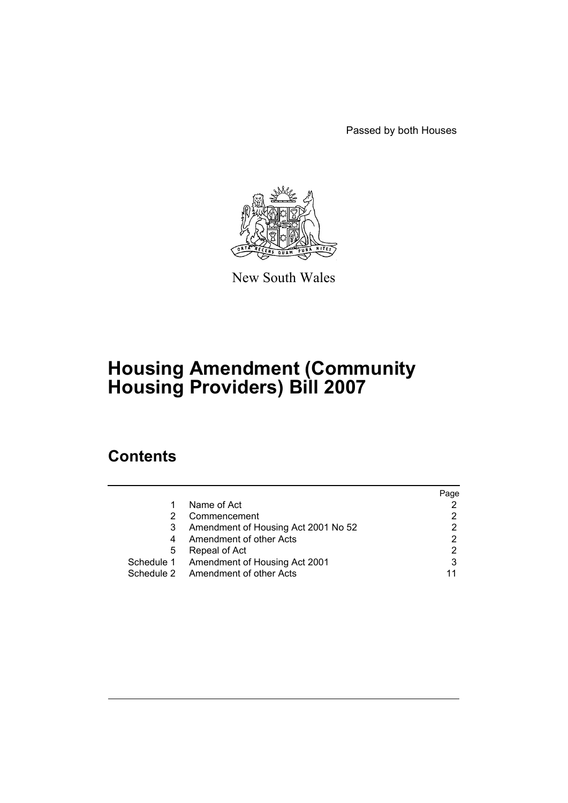Passed by both Houses



New South Wales

# **Housing Amendment (Community Housing Providers) Bill 2007**

# **Contents**

|   |                                          | Page |
|---|------------------------------------------|------|
| 1 | Name of Act                              |      |
| 2 | Commencement                             |      |
| 3 | Amendment of Housing Act 2001 No 52      | 2    |
| 4 | Amendment of other Acts                  | 2    |
| 5 | Repeal of Act                            |      |
|   | Schedule 1 Amendment of Housing Act 2001 | 3    |
|   | Schedule 2 Amendment of other Acts       |      |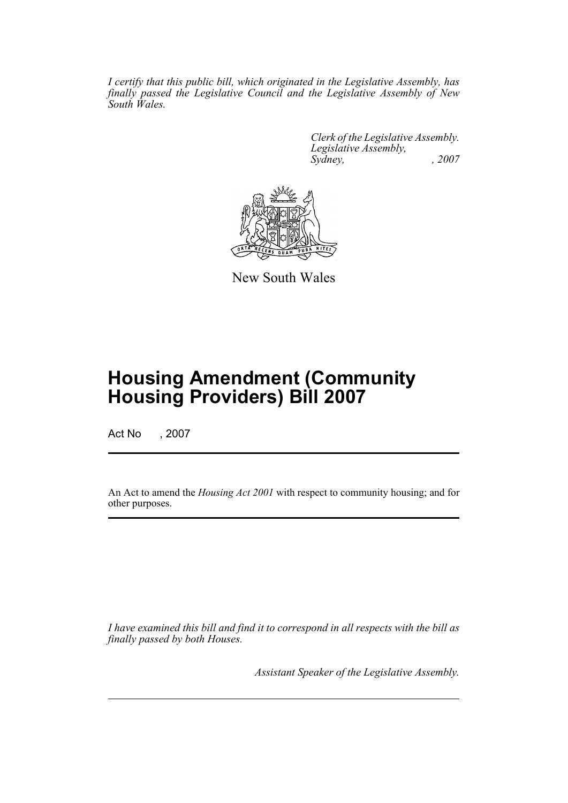*I certify that this public bill, which originated in the Legislative Assembly, has finally passed the Legislative Council and the Legislative Assembly of New South Wales.*

> *Clerk of the Legislative Assembly. Legislative Assembly, Sydney, , 2007*



New South Wales

# **Housing Amendment (Community Housing Providers) Bill 2007**

Act No , 2007

An Act to amend the *Housing Act 2001* with respect to community housing; and for other purposes.

*I have examined this bill and find it to correspond in all respects with the bill as finally passed by both Houses.*

*Assistant Speaker of the Legislative Assembly.*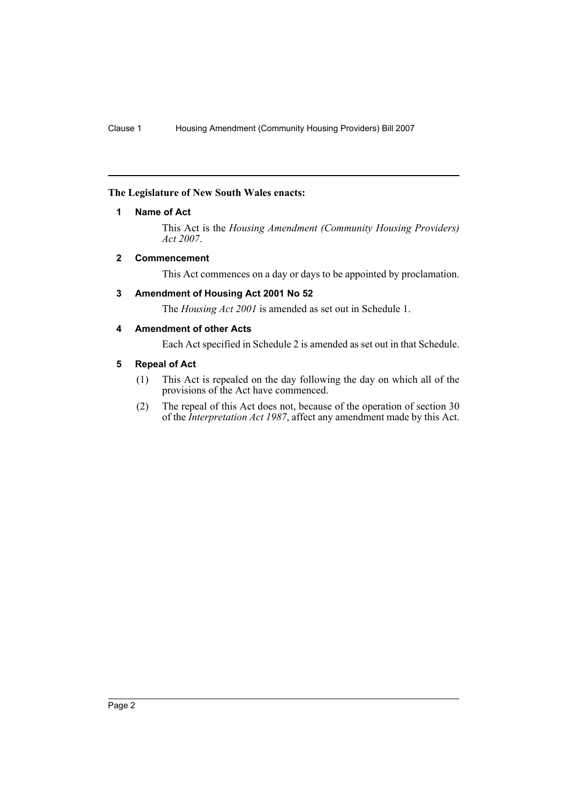# <span id="page-2-0"></span>**The Legislature of New South Wales enacts:**

# **1 Name of Act**

This Act is the *Housing Amendment (Community Housing Providers) Act 2007*.

# <span id="page-2-1"></span>**2 Commencement**

This Act commences on a day or days to be appointed by proclamation.

# <span id="page-2-2"></span>**3 Amendment of Housing Act 2001 No 52**

The *Housing Act 2001* is amended as set out in Schedule 1.

# <span id="page-2-3"></span>**4 Amendment of other Acts**

Each Act specified in Schedule 2 is amended as set out in that Schedule.

# <span id="page-2-4"></span>**5 Repeal of Act**

- (1) This Act is repealed on the day following the day on which all of the provisions of the Act have commenced.
- (2) The repeal of this Act does not, because of the operation of section 30 of the *Interpretation Act 1987*, affect any amendment made by this Act.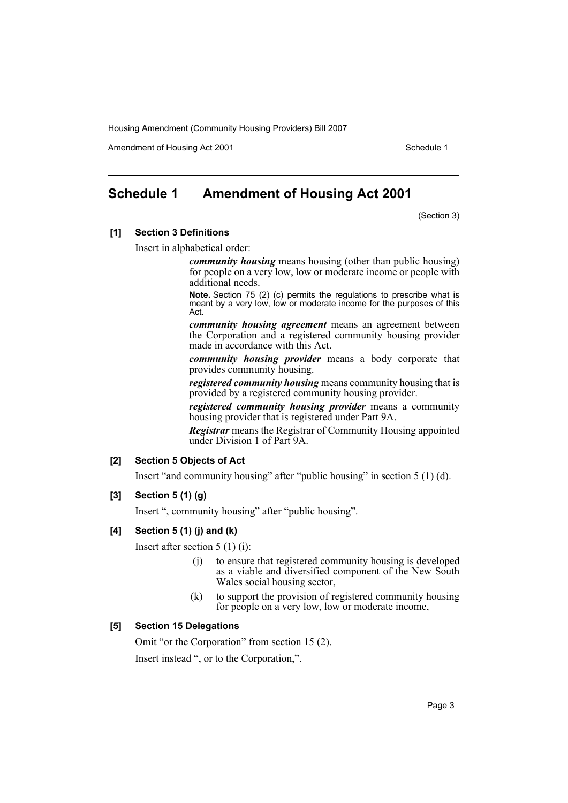Amendment of Housing Act 2001 and the control of Schedule 1

# <span id="page-3-0"></span>**Schedule 1 Amendment of Housing Act 2001**

(Section 3)

# **[1] Section 3 Definitions**

Insert in alphabetical order:

*community housing* means housing (other than public housing) for people on a very low, low or moderate income or people with additional needs.

**Note.** Section 75 (2) (c) permits the regulations to prescribe what is meant by a very low, low or moderate income for the purposes of this Act.

*community housing agreement* means an agreement between the Corporation and a registered community housing provider made in accordance with this Act.

*community housing provider* means a body corporate that provides community housing.

*registered community housing* means community housing that is provided by a registered community housing provider.

*registered community housing provider* means a community housing provider that is registered under Part 9A.

*Registrar* means the Registrar of Community Housing appointed under Division 1 of Part 9A.

### **[2] Section 5 Objects of Act**

Insert "and community housing" after "public housing" in section 5 (1) (d).

### **[3] Section 5 (1) (g)**

Insert ", community housing" after "public housing".

## **[4] Section 5 (1) (j) and (k)**

Insert after section 5 (1) (i):

- to ensure that registered community housing is developed as a viable and diversified component of the New South Wales social housing sector,
- (k) to support the provision of registered community housing for people on a very low, low or moderate income,

# **[5] Section 15 Delegations**

Omit "or the Corporation" from section 15 (2). Insert instead ", or to the Corporation,".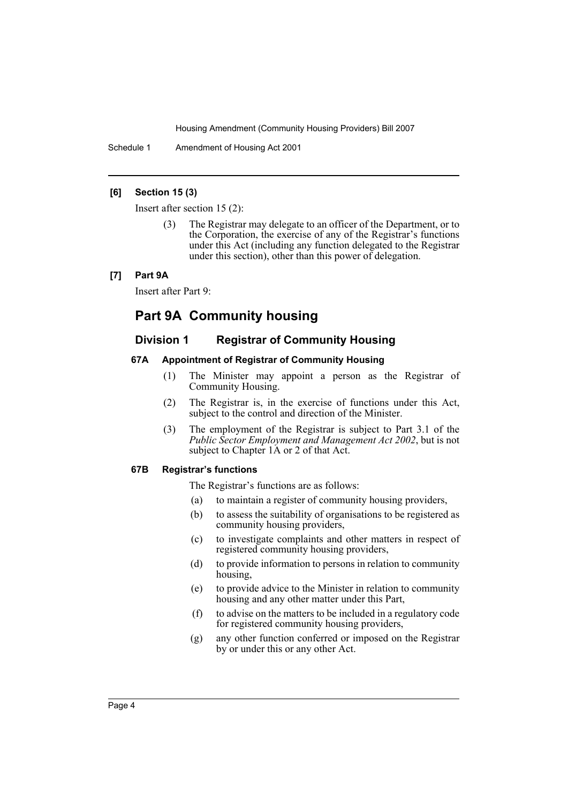Schedule 1 Amendment of Housing Act 2001

# **[6] Section 15 (3)**

Insert after section 15 (2):

The Registrar may delegate to an officer of the Department, or to the Corporation, the exercise of any of the Registrar's functions under this Act (including any function delegated to the Registrar under this section), other than this power of delegation.

## **[7] Part 9A**

Insert after Part 9:

# **Part 9A Community housing**

# **Division 1 Registrar of Community Housing**

# **67A Appointment of Registrar of Community Housing**

- (1) The Minister may appoint a person as the Registrar of Community Housing.
- (2) The Registrar is, in the exercise of functions under this Act, subject to the control and direction of the Minister.
- (3) The employment of the Registrar is subject to Part 3.1 of the *Public Sector Employment and Management Act 2002*, but is not subject to Chapter 1A or 2 of that Act.

## **67B Registrar's functions**

The Registrar's functions are as follows:

- (a) to maintain a register of community housing providers,
- (b) to assess the suitability of organisations to be registered as community housing providers,
- (c) to investigate complaints and other matters in respect of registered community housing providers,
- (d) to provide information to persons in relation to community housing,
- (e) to provide advice to the Minister in relation to community housing and any other matter under this Part,
- (f) to advise on the matters to be included in a regulatory code for registered community housing providers,
- (g) any other function conferred or imposed on the Registrar by or under this or any other Act.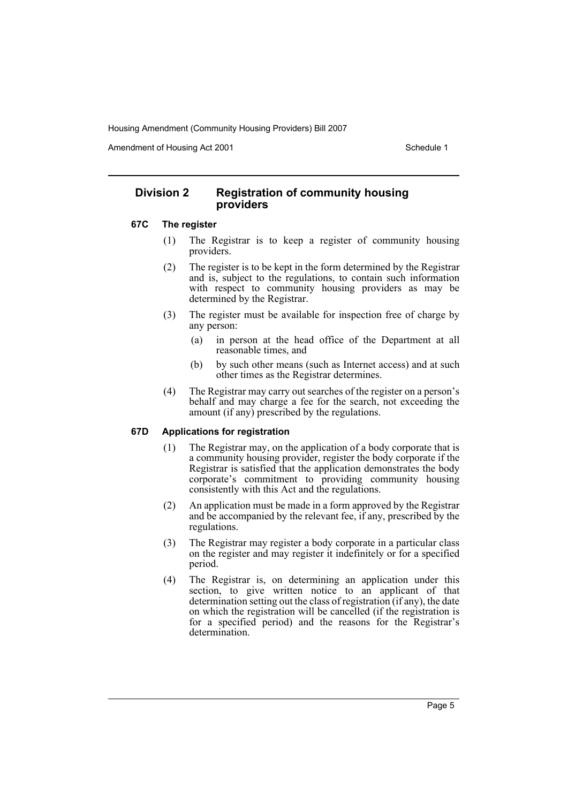Amendment of Housing Act 2001 and the control of Schedule 1

# **Division 2 Registration of community housing providers**

#### **67C The register**

- (1) The Registrar is to keep a register of community housing providers.
- (2) The register is to be kept in the form determined by the Registrar and is, subject to the regulations, to contain such information with respect to community housing providers as may be determined by the Registrar.
- (3) The register must be available for inspection free of charge by any person:
	- (a) in person at the head office of the Department at all reasonable times, and
	- (b) by such other means (such as Internet access) and at such other times as the Registrar determines.
- (4) The Registrar may carry out searches of the register on a person's behalf and may charge a fee for the search, not exceeding the amount (if any) prescribed by the regulations.

# **67D Applications for registration**

- (1) The Registrar may, on the application of a body corporate that is a community housing provider, register the body corporate if the Registrar is satisfied that the application demonstrates the body corporate's commitment to providing community housing consistently with this Act and the regulations.
- (2) An application must be made in a form approved by the Registrar and be accompanied by the relevant fee, if any, prescribed by the regulations.
- (3) The Registrar may register a body corporate in a particular class on the register and may register it indefinitely or for a specified period.
- (4) The Registrar is, on determining an application under this section, to give written notice to an applicant of that determination setting out the class of registration (if any), the date on which the registration will be cancelled (if the registration is for a specified period) and the reasons for the Registrar's determination.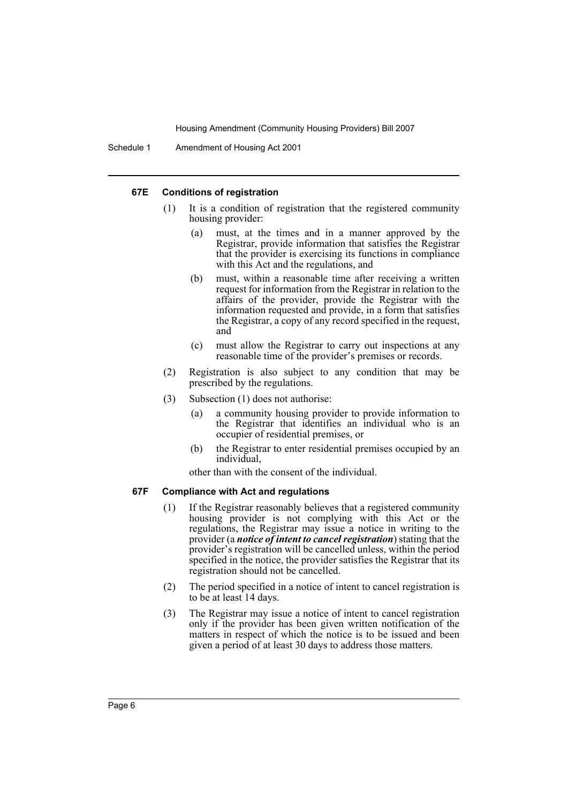#### **67E Conditions of registration**

- (1) It is a condition of registration that the registered community housing provider:
	- (a) must, at the times and in a manner approved by the Registrar, provide information that satisfies the Registrar that the provider is exercising its functions in compliance with this Act and the regulations, and
	- (b) must, within a reasonable time after receiving a written request for information from the Registrar in relation to the affairs of the provider, provide the Registrar with the information requested and provide, in a form that satisfies the Registrar, a copy of any record specified in the request, and
	- (c) must allow the Registrar to carry out inspections at any reasonable time of the provider's premises or records.
- (2) Registration is also subject to any condition that may be prescribed by the regulations.
- (3) Subsection (1) does not authorise:
	- (a) a community housing provider to provide information to the Registrar that identifies an individual who is an occupier of residential premises, or
	- (b) the Registrar to enter residential premises occupied by an individual,

other than with the consent of the individual.

#### **67F Compliance with Act and regulations**

- (1) If the Registrar reasonably believes that a registered community housing provider is not complying with this Act or the regulations, the Registrar may issue a notice in writing to the provider (a *notice of intent to cancel registration*) stating that the provider's registration will be cancelled unless, within the period specified in the notice, the provider satisfies the Registrar that its registration should not be cancelled.
- (2) The period specified in a notice of intent to cancel registration is to be at least 14 days.
- (3) The Registrar may issue a notice of intent to cancel registration only if the provider has been given written notification of the matters in respect of which the notice is to be issued and been given a period of at least 30 days to address those matters.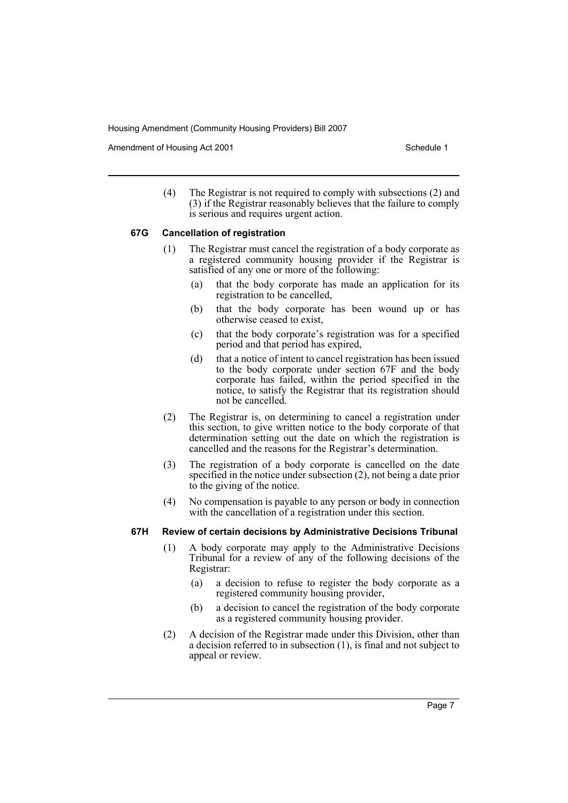Amendment of Housing Act 2001 and the control of Schedule 1

(4) The Registrar is not required to comply with subsections (2) and (3) if the Registrar reasonably believes that the failure to comply is serious and requires urgent action.

#### **67G Cancellation of registration**

- (1) The Registrar must cancel the registration of a body corporate as a registered community housing provider if the Registrar is satisfied of any one or more of the following:
	- (a) that the body corporate has made an application for its registration to be cancelled,
	- (b) that the body corporate has been wound up or has otherwise ceased to exist,
	- (c) that the body corporate's registration was for a specified period and that period has expired,
	- (d) that a notice of intent to cancel registration has been issued to the body corporate under section 67F and the body corporate has failed, within the period specified in the notice, to satisfy the Registrar that its registration should not be cancelled.
- (2) The Registrar is, on determining to cancel a registration under this section, to give written notice to the body corporate of that determination setting out the date on which the registration is cancelled and the reasons for the Registrar's determination.
- (3) The registration of a body corporate is cancelled on the date specified in the notice under subsection (2), not being a date prior to the giving of the notice.
- (4) No compensation is payable to any person or body in connection with the cancellation of a registration under this section.

# **67H Review of certain decisions by Administrative Decisions Tribunal**

- (1) A body corporate may apply to the Administrative Decisions Tribunal for a review of any of the following decisions of the Registrar:
	- (a) a decision to refuse to register the body corporate as a registered community housing provider,
	- (b) a decision to cancel the registration of the body corporate as a registered community housing provider.
- (2) A decision of the Registrar made under this Division, other than a decision referred to in subsection (1), is final and not subject to appeal or review.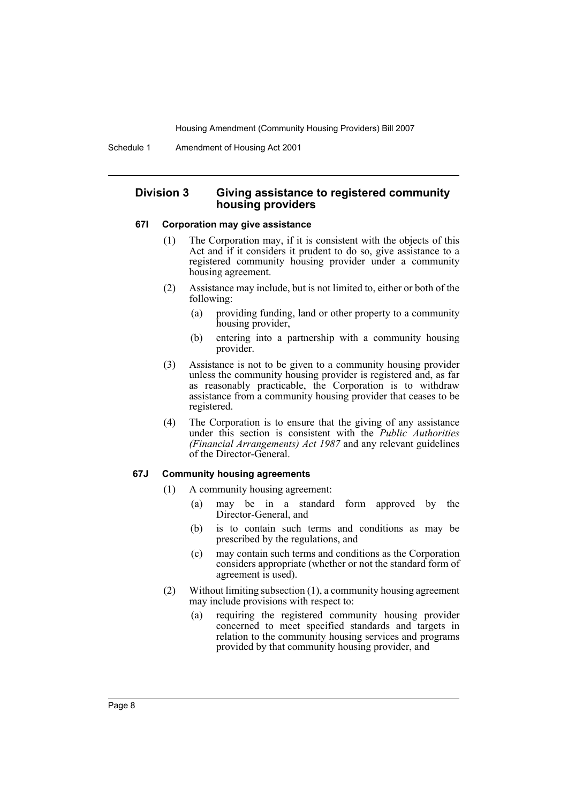# **Division 3 Giving assistance to registered community housing providers**

# **67I Corporation may give assistance**

- (1) The Corporation may, if it is consistent with the objects of this Act and if it considers it prudent to do so, give assistance to a registered community housing provider under a community housing agreement.
- (2) Assistance may include, but is not limited to, either or both of the following:
	- (a) providing funding, land or other property to a community housing provider,
	- (b) entering into a partnership with a community housing provider.
- (3) Assistance is not to be given to a community housing provider unless the community housing provider is registered and, as far as reasonably practicable, the Corporation is to withdraw assistance from a community housing provider that ceases to be registered.
- (4) The Corporation is to ensure that the giving of any assistance under this section is consistent with the *Public Authorities (Financial Arrangements) Act 1987* and any relevant guidelines of the Director-General.

#### **67J Community housing agreements**

- (1) A community housing agreement:
	- (a) may be in a standard form approved by the Director-General, and
	- (b) is to contain such terms and conditions as may be prescribed by the regulations, and
	- (c) may contain such terms and conditions as the Corporation considers appropriate (whether or not the standard form of agreement is used).
- (2) Without limiting subsection (1), a community housing agreement may include provisions with respect to:
	- (a) requiring the registered community housing provider concerned to meet specified standards and targets in relation to the community housing services and programs provided by that community housing provider, and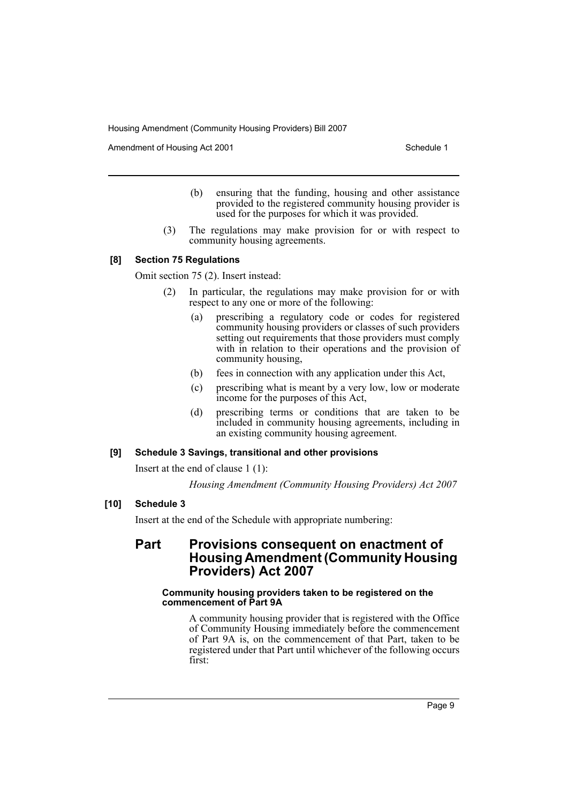Amendment of Housing Act 2001 and the control of Schedule 1

- (b) ensuring that the funding, housing and other assistance provided to the registered community housing provider is used for the purposes for which it was provided.
- (3) The regulations may make provision for or with respect to community housing agreements.

# **[8] Section 75 Regulations**

Omit section 75 (2). Insert instead:

- (2) In particular, the regulations may make provision for or with respect to any one or more of the following:
	- (a) prescribing a regulatory code or codes for registered community housing providers or classes of such providers setting out requirements that those providers must comply with in relation to their operations and the provision of community housing,
	- (b) fees in connection with any application under this Act,
	- (c) prescribing what is meant by a very low, low or moderate income for the purposes of this Act,
	- (d) prescribing terms or conditions that are taken to be included in community housing agreements, including in an existing community housing agreement.

# **[9] Schedule 3 Savings, transitional and other provisions**

Insert at the end of clause 1 (1):

*Housing Amendment (Community Housing Providers) Act 2007*

# **[10] Schedule 3**

Insert at the end of the Schedule with appropriate numbering:

# **Part Provisions consequent on enactment of Housing Amendment (Community Housing Providers) Act 2007**

### **Community housing providers taken to be registered on the commencement of Part 9A**

A community housing provider that is registered with the Office of Community Housing immediately before the commencement of Part 9A is, on the commencement of that Part, taken to be registered under that Part until whichever of the following occurs first: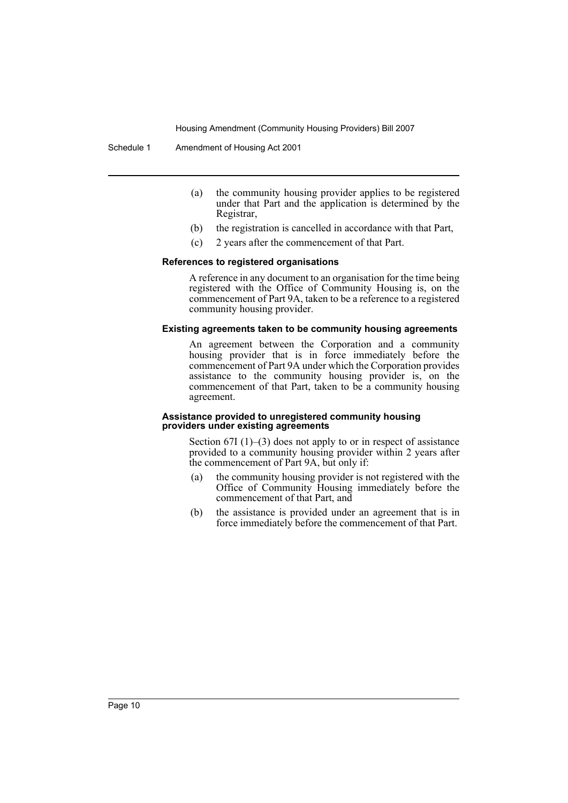Schedule 1 Amendment of Housing Act 2001

- (a) the community housing provider applies to be registered under that Part and the application is determined by the Registrar,
- (b) the registration is cancelled in accordance with that Part,
- (c) 2 years after the commencement of that Part.

#### **References to registered organisations**

A reference in any document to an organisation for the time being registered with the Office of Community Housing is, on the commencement of Part 9A, taken to be a reference to a registered community housing provider.

## **Existing agreements taken to be community housing agreements**

An agreement between the Corporation and a community housing provider that is in force immediately before the commencement of Part 9A under which the Corporation provides assistance to the community housing provider is, on the commencement of that Part, taken to be a community housing agreement.

#### **Assistance provided to unregistered community housing providers under existing agreements**

Section  $67I(1)$ – $(3)$  does not apply to or in respect of assistance provided to a community housing provider within 2 years after the commencement of Part 9A, but only if:

- (a) the community housing provider is not registered with the Office of Community Housing immediately before the commencement of that Part, and
- (b) the assistance is provided under an agreement that is in force immediately before the commencement of that Part.